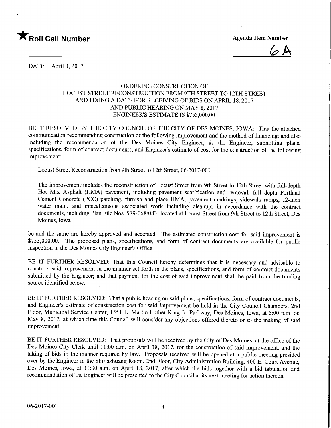

 $6A$ 

DATE April 3, 2017

## ORDERING CONSTRUCTION OF LOCUST STREET RECONSTRUCTION FROM 9TH STREET TO 12TH STREET AND FIXING A DATE FOR RECEIVING OF BIDS ON APRIL 18, 2017 AND PUBLIC HEARING ON MAY 8,2017 ENGINEER'S ESTIMATE IS \$753,000.00

BE IT RESOLVED BY THE CITY COUNCIL OF THE CITY OF DES MOINES, IOWA: That the attached communication recommending construction of the following improvement and the method of financing; and also including the recommendation of the Des Moines City Engineer, as the Engineer, submitting plans, specifications, form of contract documents, and Engineer's estimate of cost for the construction of the following improvement:

Locust Street Reconstruction from 9th Street to 12th Street, 06-2017-001

The improvement includes the reconstruction of Locust Street from 9th Street to 12th Street with full-depth Hot Mix Asphalt (HMA) pavement, including pavement scarification and removal, full depth Portland Cement Concrete (PCC) patching, furnish and place HMA, pavement markings, sidewalk ramps, 12-inch water main, and miscellaneous associated work including cleanup; in accordance with the contract documents, including Plan File Nos. 579-068/083, located at Locust Street from 9th Street to 12th Street, Des Moines, Iowa

be and the same are hereby approved and accepted. The estimated construction cost for said improvement is \$753,000.00. The proposed plans, specifications, and form of contract documents are available for public inspection in the Des Moines City Engineer's Office.

BE IT FURTHER RESOLVED: That this Council hereby determines that it is necessary and advisable to construct said improvement in the manner set forth in the plans, specifications, and form of contract documents submitted by the Engineer; and that payment for the cost of said improvement shall be paid from the funding source identified below.

BE IT FURTHER RESOLVED: That a public hearing on said plans, specifications, form of contract documents, and Engineer's estimate of construction cost for said improvement be held in the City Council Chambers, 2nd Floor, Municipal Service Center, 1551 E. Martin Luther King Jr. Parkway, Des Moines, Iowa, at 5:00 p.m. on May 8, 2017, at which time this Council will consider any objections offered thereto or to the making of said improvement.

BE IT FURTHER RESOLVED: That proposals will be received by the City of Des Moines, at the office of the Des Moines City Clerk until 11:00 a.m. on April 18, 2017, for the construction of said improvement, and the taking of bids in the manner required by law. Proposals received will be opened at a public meeting presided over by the Engineer in the Shijiazhuang Room, 2nd Floor, City Administration Building, 400 E. Court Avenue, Des Moines, Iowa, at 11:00 a.m. on April 18, 2017, after which the bids together with a bid tabulation and recommendation of the Engineer will be presented to the City Council at its next meeting for action thereon.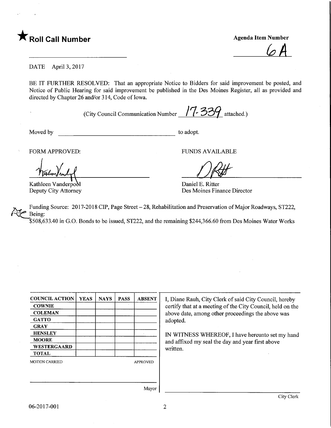

 $\sqrt{A}$ 

DATE April 3, 2017

BE IT FURTHER RESOLVED: That an appropriate Notice to Bidders for said improvement be posted, and Notice of Public Hearing for said improvement be published in the Des Moines Register, all as provided and directed by Chapter 26 and/or 314, Code of Iowa.

(City Council Communication Number  $\sqrt{7}$ -339 attached.)

Moved by to adopt.

Kathleen Vanderpool Deputy City Attorney

FORM APPROVED: THE RESERVE OF THE RESERVED FUNDS AVAILABLE

Daniel E. Ritter Des Moines Finance Director

Funding Source: 2017-2018 CIP, Page Street - 28, Rehabilitation and Preservation of Major Roadways, ST222, Being:

'\$508,633.40 in G.O. Bonds to be issued, ST222, and the remaining \$244,366.60 from Des Moines Water Works

| <b>COUNCIL ACTION</b> | <b>YEAS</b> | <b>NAYS</b> | <b>PASS</b> | <b>ABSENT</b>   |
|-----------------------|-------------|-------------|-------------|-----------------|
| <b>COWNIE</b>         |             |             |             |                 |
| <b>COLEMAN</b>        |             |             |             |                 |
| <b>GATTO</b>          |             |             |             |                 |
| <b>GRAY</b>           |             |             |             |                 |
| <b>HENSLEY</b>        |             |             |             |                 |
| <b>MOORE</b>          |             |             |             |                 |
| WESTERGAARD           |             |             |             |                 |
| <b>TOTAL</b>          |             |             |             |                 |
| <b>MOTION CARRIED</b> |             |             |             | <b>APPROVED</b> |
|                       |             |             |             |                 |
|                       |             |             |             |                 |

I, Diane Rauh, City Clerk of said City Council, hereby certify that at a meeting of the City Council, held on the above date, among other proceedings the above was adopted.

IN WITNESS WHEREOF, I have hereunto set my hand and affixed my seal the day and year first above written.

Mayor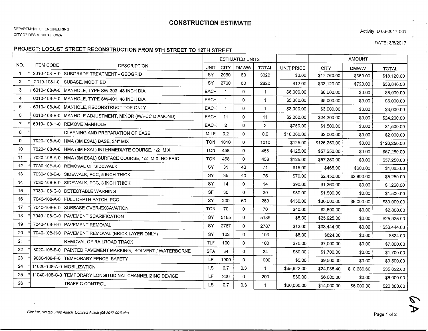## CONSTRUCTION ESTIMATE

Activity ID 06-2017-001

DATE: 3/8/2017

 $\mathcal{P}$ 

## **RODEST: LOCUST CTREET RECONSTRUCTION FROM 9TH STREET TO 12TH STREE**

|                |                  |                                                              | <b>ESTIMATED UNITS</b> |                |              |                |                   | <b>AMOUNT</b> |             |              |
|----------------|------------------|--------------------------------------------------------------|------------------------|----------------|--------------|----------------|-------------------|---------------|-------------|--------------|
| NO.            | <b>ITEM CODE</b> | <b>DESCRIPTION</b>                                           | UNIT                   | <b>CITY</b>    | <b>DMWW</b>  | <b>TOTAL</b>   | <b>UNIT PRICE</b> | <b>CITY</b>   | <b>DMWW</b> | <b>TOTAL</b> |
| $\mathbf{1}$   | 2010-108-H-0     | SUBGRADE TREATMENT - GEOGRID                                 | <b>SY</b>              | 2960           | 60           | 3020           | \$6.00            | \$17,760.00   | \$360.00    | \$18,120.00  |
| $\overline{2}$ | 2010-108-I-0     | SUBASE, MODIFIED                                             | <b>SY</b>              | 2760           | 60           | 2820           | \$12.00           | \$33,120.00   | \$720.00    | \$33,840.00  |
| 3              |                  | 6010-108-A-0   MANHOLE, TYPE SW-303, 48 INCH DIA.            | <b>EACH</b>            | 1              | $\Omega$     | $^{\circ}$ 1   | \$8,000.00        | \$8,000.00    | \$0.00      | \$8,000.00   |
| 4              |                  | 6010-108-A-0   MANHOLE, TYPE SW-401, 48 INCH DIA.            | <b>EACH</b>            | 1              | 0            | 1              | \$5,000.00        | \$5,000.00    | \$0.00      | \$5,000.00   |
| 5              |                  | 6010-108-A-0   MANHOLE, RECONSTRUCT TOP ONLY                 | <b>EACH</b>            | 1              | 0            | 1              | \$3,000.00        | \$3,000.00    | \$0.00      | \$3,000.00   |
| 6              |                  | 6010-108-E-0   MANHOLE ADJUSTMENT, MINOR (W/PCC DIAMOND)     | <b>EACH</b>            | 11             | 0            | 11             | \$2,200.00        | \$24,200.00   | \$0.00      | \$24,200.00  |
| $\overline{7}$ |                  | 6010-108-H-0 REMOVE MANHOLE                                  | <b>EACH</b>            | $\overline{2}$ | $\mathbf{O}$ | $\overline{2}$ | \$750.00          | \$1,500.00    | \$0.00      | \$1,500.00   |
| 8              |                  | CLEANING AND PREPARATION OF BASE                             | MILE                   | 0.2            | $\mathbf 0$  | 0.2            | \$10,000.00       | \$2,000.00    | \$0.00      | \$2,000.00   |
| 9              | 7020-108-A-0     | HMA (3M ESAL) BASE, 3/4" MIX                                 | <b>TON</b>             | 1010           | $\mathbf 0$  | 1010           | \$125.00          | \$126,250.00  | \$0.00      | \$126,250.00 |
| 10             |                  | 7020-108-A-0 HMA (3M ESAL) INTERMEDIATE COURSE, 1/2" MIX     | <b>TON</b>             | 458            | $\Omega$     | 458            | \$125.00          | \$57,250.00   | \$0.00      | \$57,250.00  |
| 11             |                  | 7020-108-A-0 HMA (3M ESAL) SURFACE COURSE, 1/2" MIX, NO FRIC | <b>TON</b>             | 458            | 0            | 458            | \$125.00          | \$57,250.00   | \$0.00      | \$57,250.00  |
| 12             | 7030-108-A-0     | REMOVAL OF SIDEWALK                                          | <b>SY</b>              | 31             | 40           | 71             | \$15.00           | \$465.00      | \$600.00    | \$1,065.00   |
| 13             |                  | 7030-108-E-0 SIDEWALK, PCC, 5 INCH THICK                     | SY                     | 35             | 40           | 75             | \$70.00           | \$2,450.00    | \$2,800.00  | \$5,250.00   |
| 14             |                  | 7030-108-E-0 SIDEWALK, PCC, 8 INCH THICK                     | SY                     | 14             | $\Omega$     | 14             | \$90.00           | \$1,260.00    | \$0.00      | \$1,260.00   |
| 15             |                  | 7030-108-G-0 DETECTABLE WARNING                              | <b>SF</b>              | 30             | $\Omega$     | 30             | \$50.00           | \$1,500.00    | \$0.00      | \$1,500.00   |
| 16             |                  | 7040-108-A-0 FULL DEPTH PATCH, PCC                           | SY                     | 200            | 60           | 260            | \$150.00          | \$30,000.00   | \$9,000.00  | \$39,000.00  |
| 17             |                  | 7040-108-B-0 SUBBASE OVER-EXCAVATION                         | <b>TON</b>             | 70             | $\Omega$     | 70             | \$40.00           | \$2,800.00    | \$0.00      | \$2,800.00   |
| 18             |                  | 7040-108-G-0 PAVEMENT SCARIFICATION                          | <b>SY</b>              | 5185           | 0            | 5185           | \$5.00            | \$25,925.00   | \$0.00      | \$25,925.00  |
| 19             | 7040-108-H-0     | <b>PAVEMENT REMOVAL</b>                                      | SY                     | 2787           | $\Omega$     | 2787           | \$12.00           | \$33,444.00   | \$0.00      | \$33,444.00  |
| 20             | 7040-108-H-0     | PAVEMENT REMOVAL (BRICK LAYER ONLY)                          | SY                     | 103            | 0            | 103            | \$8.00            | \$824.00      | \$0.00      | \$824.00     |
| 21             |                  | REMOVAL OF RAILROAD TRACK                                    | <b>TLF</b>             | 100            | 0            | 100            | \$70.00           | \$7,000.00    | \$0.00      | \$7,000.00   |
| 22             | 8020-108-B-0     | PAINTED PAVEMENT MARKING, SOLVENT / WATERBORNE               | <b>STA</b>             | 34             | 0            | 34             | \$50.00           | \$1,700.00    | \$0.00      | \$1,700.00   |
| 23             | 9060-108-F-0     | TEMPORARY FENCE, SAFETY                                      | LF                     | 1900           | 0            | 1900           | \$5.00            | \$9,500.00    | \$0.00      | \$9,500.00   |
| 24             |                  | 11020-108-A-0 MOBILIZATION                                   | <b>LS</b>              | 0.7            | 0.3          | 1              | \$35,622.00       | \$24,935.40   | \$10,686.60 | \$35,622.00  |
| 25             |                  | 11040-108-C-0 TEMPORARY LONGITUDINAL CHANNELIZING DEVICE     | LF                     | 200            | 0            | 200            | \$30.00           | \$6,000.00    | \$0.00      | \$6,000.00   |
| 26             |                  | TRAFFIC CONTROL                                              | LS                     | 0.7            | 0.3          | 1              | \$20,000.00       | \$14,000.00   | \$6,000.00  | \$20,000.00  |

 $\sim$   $\sim$ 

 $\overline{\phantom{0}}$  $\blacktriangleright$